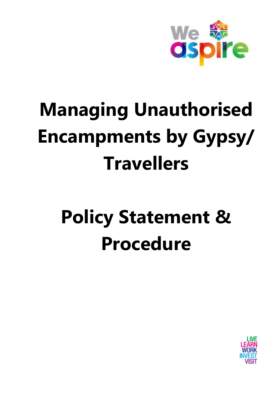

# **Managing Unauthorised Encampments by Gypsy/ Travellers**

# **Policy Statement & Procedure**

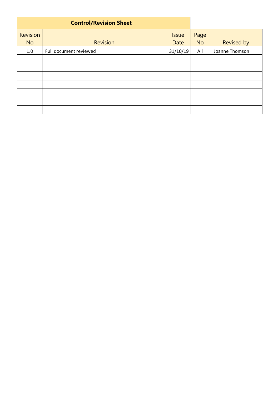| <b>Control/Revision Sheet</b> |                        |                             |                   |                   |
|-------------------------------|------------------------|-----------------------------|-------------------|-------------------|
| <b>Revision</b><br><b>No</b>  | <b>Revision</b>        | <b>Issue</b><br><b>Date</b> | Page<br><b>No</b> | <b>Revised by</b> |
| 1.0                           | Full document reviewed | 31/10/19                    | All               | Joanne Thomson    |
|                               |                        |                             |                   |                   |
|                               |                        |                             |                   |                   |
|                               |                        |                             |                   |                   |
|                               |                        |                             |                   |                   |
|                               |                        |                             |                   |                   |
|                               |                        |                             |                   |                   |
|                               |                        |                             |                   |                   |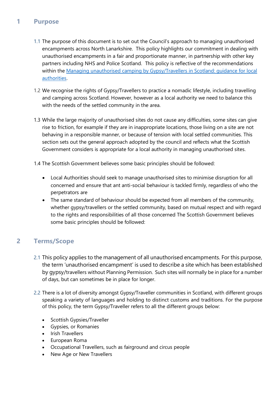## **1 Purpose**

- 1.1 The purpose of this document is to set out the Council's approach to managing unauthorised encampments across North Lanarkshire. This policy highlights our commitment in dealing with unauthorised encampments in a fair and proportionate manner, in partnership with other key partners including NHS and Police Scotland. This policy is reflective of the recommendations within the [Managing unauthorised camping by Gypsy/Travellers in Scotland: guidance for local](https://www.gov.scot/publications/guidance-local-authorities-managing-unauthorised-camping-gypsy-travellers-scotland/pages/1/)  [authorities.](https://www.gov.scot/publications/guidance-local-authorities-managing-unauthorised-camping-gypsy-travellers-scotland/pages/1/)
- 1.2 We recognise the rights of Gypsy/Travellers to practice a nomadic lifestyle, including travelling and camping across Scotland. However, however as a local authority we need to balance this with the needs of the settled community in the area.
- 1.3 While the large majority of unauthorised sites do not cause any difficulties, some sites can give rise to friction, for example if they are in inappropriate locations, those living on a site are not behaving in a responsible manner, or because of tension with local settled communities. This section sets out the general approach adopted by the council and reflects what the Scottish Government considers is appropriate for a local authority in managing unauthorised sites.
- 1.4 The Scottish Government believes some basic principles should be followed:
	- Local Authorities should seek to manage unauthorised sites to minimise disruption for all concerned and ensure that ant anti-social behaviour is tackled firmly, regardless of who the perpetrators are
	- The same standard of behaviour should be expected from all members of the community, whether gypsy/travellers or the settled community, based on mutual respect and with regard to the rights and responsibilities of all those concerned The Scottish Government believes some basic principles should be followed:

# **2 Terms/Scope**

- 2.1 This policy applies to the management of all unauthorised encampments. For this purpose, the term 'unauthorised encampment' is used to describe a site which has been established by gypsy/travellers without Planning Permission. Such sites will normally be in place for a number of days, but can sometimes be in place for longer.
- 2.2 There is a lot of diversity amongst Gypsy/Traveller communities in Scotland, with different groups speaking a variety of languages and holding to distinct customs and traditions. For the purpose of this policy, the term Gypsy/Traveller refers to all the different groups below:
	- Scottish Gypsies/Traveller
	- Gypsies, or Romanies
	- Irish Travellers
	- European Roma
	- Occupational Travellers, such as fairground and circus people
	- New Age or New Travellers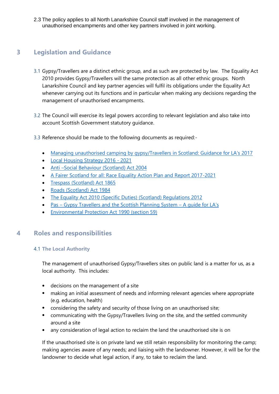2.3 The policy applies to all North Lanarkshire Council staff involved in the management of unauthorised encampments and other key partners involved in joint working.

## **3 Legislation and Guidance**

- 3.1 Gypsy/Travellers are a distinct ethnic group, and as such are protected by law. The Equality Act 2010 provides Gypsy/Travellers will the same protection as all other ethnic groups. North Lanarkshire Council and key partner agencies will fulfil its obligations under the Equality Act whenever carrying out its functions and in particular when making any decisions regarding the management of unauthorised encampments.
- 3.2 The Council will exercise its legal powers according to relevant legislation and also take into account Scottish Government statutory guidance.
- 3.3 Reference should be made to the following documents as required:-
	- [Managing unauthorised camping by gypsy/Travellers in Scotland: Guidance for LA's 2017](https://www.gov.scot/publications/guidance-local-authorities-managing-unauthorised-camping-gypsy-travellers-scotland/pages/1/)
	- [Local Housing Strategy 2016 -](http://connect/CHttpHandler.ashx?id=31934&p=0) 2021
	- Anti-[Social Behaviour \(Scotland\) Act 2004](https://www.legislation.gov.uk/asp/2004/8/contents)
	- [A Fairer Scotland for all: Race Equality Action Plan and Report 2017-2021](https://www.gov.scot/publications/fairer-scotland-race-equality-action-plan-2017-2021-highlight-report/pages/6/)
	- [Trespass \(Scotland\) Act 1865](http://www.legislation.gov.uk/ukpga/Vict/28-29/56)
	- [Roads \(Scotland\) Act 1984](https://www.legislation.gov.uk/ukpga/1984/54/contents)
	- [The Equality Act 2010 \(Specific Duties\) \(Scotland\) Regulations 2012](https://www2.gov.scot/Topics/Government/Procurement/policy/corporate-responsibility/Sustainability/Equality)
	- Pas [Gypsy Travellers and the Scottish Planning System](file://///ho-file/HO-Userdir/ThomsonJ/Desktop/20-GypsyTravellers-and-the-Scottish-Planning-System-A-Guide-for-Local-Authorities-REVISED)  A guide for LA's
	- [Environmental Protection Act 1990 \(section 59\)](http://www.legislation.gov.uk/ukpga/1990/43/section/59)

## **4 Roles and responsibilities**

#### 4.1 **The Local Authority**

The management of unauthorised Gypsy/Travellers sites on public land is a matter for us, as a local authority. This includes:

- decisions on the management of a site
- making an initial assessment of needs and informing relevant agencies where appropriate (e.g. education, health)
- considering the safety and security of those living on an unauthorised site;
- communicating with the Gypsy/Travellers living on the site, and the settled community around a site
- any consideration of legal action to reclaim the land the unauthorised site is on

If the unauthorised site is on private land we still retain responsibility for monitoring the camp; making agencies aware of any needs; and liaising with the landowner. However, it will be for the landowner to decide what legal action, if any, to take to reclaim the land.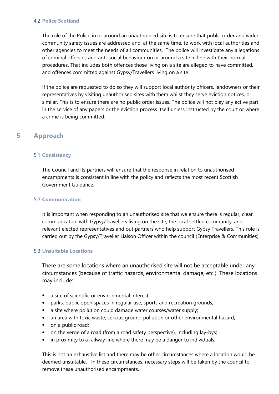#### 4.2 **Police Scotland**

The role of the Police in or around an unauthorised site is to ensure that public order and wider community safety issues are addressed and, at the same time, to work with local authorities and other agencies to meet the needs of all communities. The police will investigate any allegations of criminal offences and anti-social behaviour on or around a site in line with their normal procedures. That includes both offences those living on a site are alleged to have committed, and offences committed against Gypsy/Travellers living on a site.

If the police are requested to do so they will support local authority officers, landowners or their representatives by visiting unauthorised sites with them whilst they serve eviction notices, or similar. This is to ensure there are no public order issues. The police will not play any active part in the service of any papers or the eviction process itself unless instructed by the court or where a crime is being committed.

## **5 Approach**

#### 5.1 **Consistency**

The Council and its partners will ensure that the response in relation to unauthorised encampments is consistent in line with the policy and reflects the most recent Scottish Government Guidance.

#### 5.2 **Communication**

It is important when responding to an unauthorised site that we ensure there is regular, clear, communication with Gypsy/Travellers living on the site, the local settled community, and relevant elected representatives and out partners who help support Gypsy Travellers. This role is carried out by the Gypsy/Traveller Liaison Officer within the council (Enterprise & Communities).

#### 5.3 **Unsuitable Locations**

There are some locations where an unauthorised site will not be acceptable under any circumstances (because of traffic hazards, environmental damage, etc.). These locations may include:

- a site of scientific or environmental interest:
- parks, public open spaces in regular use, sports and recreation grounds;
- a site where pollution could damage water courses/water supply;
- an area with toxic waste, serious ground pollution or other environmental hazard;
- on a public road;
- on the verge of a road (from a road safety perspective), including lay-bys;
- in proximity to a railway line where there may be a danger to individuals;

This is not an exhaustive list and there may be other circumstances where a location would be deemed unsuitable. In these circumstances, necessary steps will be taken by the council to remove these unauthorised encampments.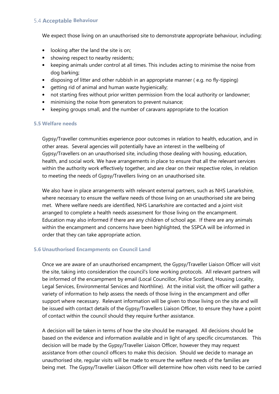#### 5.4 **Acceptable Behaviour**

We expect those living on an unauthorised site to demonstrate appropriate behaviour, including:

- looking after the land the site is on;
- showing respect to nearby residents;
- keeping animals under control at all times. This includes acting to minimise the noise from dog barking;
- disposing of litter and other rubbish in an appropriate manner ( e.g. no fly-tipping)
- getting rid of animal and human waste hygienically;
- not starting fires without prior written permission from the local authority or landowner;
- minimising the noise from generators to prevent nuisance;
- keeping groups small, and the number of caravans appropriate to the location

#### **5.5 Welfare needs**

Gypsy/Traveller communities experience poor outcomes in relation to health, education, and in other areas. Several agencies will potentially have an interest in the wellbeing of Gypsy/Travellers on an unauthorised site, including those dealing with housing, education, health, and social work. We have arrangements in place to ensure that all the relevant services within the authority work effectively together, and are clear on their respective roles, in relation to meeting the needs of Gypsy/Travellers living on an unauthorised site.

We also have in place arrangements with relevant external partners, such as NHS Lanarkshire, where necessary to ensure the welfare needs of those living on an unauthorised site are being met. Where welfare needs are identified, NHS Lanarkshire are contacted and a joint visit arranged to complete a health needs assessment for those living on the encampment. Education may also informed if there are any children of school age. If there are any animals within the encampment and concerns have been highlighted, the SSPCA will be informed in order that they can take appropriate action.

#### **5.6 Unauthorised Encampments on Council Land**

Once we are aware of an unauthorised encampment, the Gypsy/Traveller Liaison Officer will visit the site, taking into consideration the council's lone working protocols. All relevant partners will be informed of the encampment by email (Local Councillor, Police Scotland, Housing Locality, Legal Services, Environmental Services and Northline). At the initial visit, the officer will gather a variety of information to help assess the needs of those living in the encampment and offer support where necessary. Relevant information will be given to those living on the site and will be issued with contact details of the Gypsy/Travellers Liaison Officer, to ensure they have a point of contact within the council should they require further assistance.

A decision will be taken in terms of how the site should be managed. All decisions should be based on the evidence and information available and in light of any specific circumstances. This decision will be made by the Gypsy/Traveller Liaison Officer, however they may request assistance from other council officers to make this decision. Should we decide to manage an unauthorised site, regular visits will be made to ensure the welfare needs of the families are being met. The Gypsy/Traveller Liaison Officer will determine how often visits need to be carried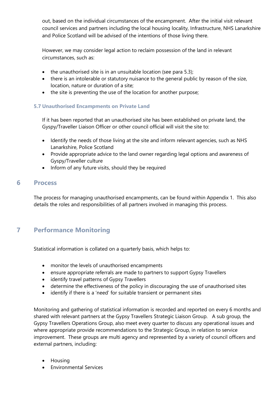out, based on the individual circumstances of the encampment. After the initial visit relevant council services and partners including the local housing locality, Infrastructure, NHS Lanarkshire and Police Scotland will be advised of the intentions of those living there.

However, we may consider legal action to reclaim possession of the land in relevant circumstances, such as:

- $\bullet$  the unauthorised site is in an unsuitable location (see para 5.3);
- there is an intolerable or statutory nuisance to the general public by reason of the size, location, nature or duration of a site;
- the site is preventing the use of the location for another purpose;

#### **5.7 Unauthorised Encampments on Private Land**

If it has been reported that an unauthorised site has been established on private land, the Gyspy/Traveller Liaison Officer or other council official will visit the site to:

- Identify the needs of those living at the site and inform relevant agencies, such as NHS Lanarkshire, Police Scotland
- Provide appropriate advice to the land owner regarding legal options and awareness of Gyspy/Traveller culture
- Inform of any future visits, should they be required

### **6 Process**

The process for managing unauthorised encampments, can be found within Appendix 1. This also details the roles and responsibilities of all partners involved in managing this process.

## **7 Performance Monitoring**

Statistical information is collated on a quarterly basis, which helps to:

- monitor the levels of unauthorised encampments
- ensure appropriate referrals are made to partners to support Gypsy Travellers
- identify travel patterns of Gypsy Travellers
- determine the effectiveness of the policy in discouraging the use of unauthorised sites
- identify if there is a 'need' for suitable transient or permanent sites

Monitoring and gathering of statistical information is recorded and reported on every 6 months and shared with relevant partners at the Gypsy Travellers Strategic Liaison Group. A sub group, the Gypsy Travellers Operations Group, also meet every quarter to discuss any operational issues and where appropriate provide recommendations to the Strategic Group, in relation to service improvement. These groups are multi agency and represented by a variety of council officers and external partners, including:

- Housing
- Environmental Services